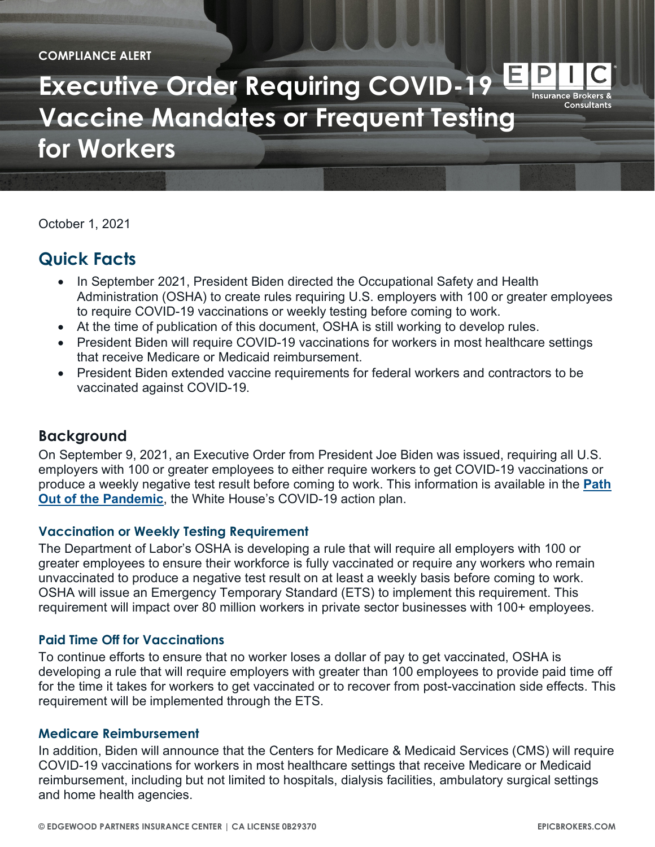**COMPLIANCE ALERT**

**Executive Order Requiring COVID-19 Vaccine Mandates or Frequent Testing for Workers**

October 1, 2021

# **Quick Facts**

- In September 2021, President Biden directed the Occupational Safety and Health Administration (OSHA) to create rules requiring U.S. employers with 100 or greater employees to require COVID-19 vaccinations or weekly testing before coming to work.
- At the time of publication of this document, OSHA is still working to develop rules.
- President Biden will require COVID-19 vaccinations for workers in most healthcare settings that receive Medicare or Medicaid reimbursement.
- President Biden extended vaccine requirements for federal workers and contractors to be vaccinated against COVID-19.

# **Background**

On September 9, 2021, an Executive Order from President Joe Biden was issued, requiring all U.S. employers with 100 or greater employees to either require workers to get COVID-19 vaccinations or produce a weekly negative test result before coming to work. This information is available in the **[Path](https://www.whitehouse.gov/covidplan/)  [Out of the Pandemic](https://www.whitehouse.gov/covidplan/)**, the White House's COVID-19 action plan.

## **Vaccination or Weekly Testing Requirement**

The Department of Labor's OSHA is developing a rule that will require all employers with 100 or greater employees to ensure their workforce is fully vaccinated or require any workers who remain unvaccinated to produce a negative test result on at least a weekly basis before coming to work. OSHA will issue an Emergency Temporary Standard (ETS) to implement this requirement. This requirement will impact over 80 million workers in private sector businesses with 100+ employees.

## **Paid Time Off for Vaccinations**

To continue efforts to ensure that no worker loses a dollar of pay to get vaccinated, OSHA is developing a rule that will require employers with greater than 100 employees to provide paid time off for the time it takes for workers to get vaccinated or to recover from post-vaccination side effects. This requirement will be implemented through the ETS.

#### **Medicare Reimbursement**

In addition, Biden will announce that the Centers for Medicare & Medicaid Services (CMS) will require COVID-19 vaccinations for workers in most healthcare settings that receive Medicare or Medicaid reimbursement, including but not limited to hospitals, dialysis facilities, ambulatory surgical settings and home health agencies.

Insurance Brokers <mark>&</mark> Consultants